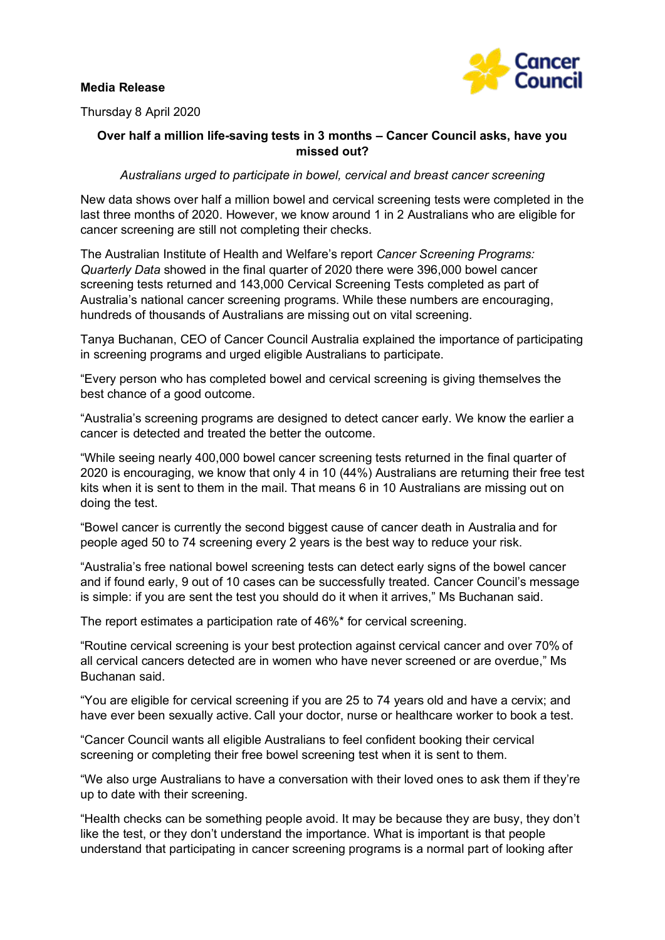## **Media Release**



Thursday 8 April 2020

# **Over half a million life-saving tests in 3 months – Cancer Council asks, have you missed out?**

*Australians urged to participate in bowel, cervical and breast cancer screening*

New data shows over half a million bowel and cervical screening tests were completed in the last three months of 2020. However, we know around 1 in 2 Australians who are eligible for cancer screening are still not completing their checks.

The Australian Institute of Health and Welfare's report *Cancer Screening Programs: Quarterly Data* showed in the final quarter of 2020 there were 396,000 bowel cancer screening tests returned and 143,000 Cervical Screening Tests completed as part of Australia's national cancer screening programs. While these numbers are encouraging, hundreds of thousands of Australians are missing out on vital screening.

Tanya Buchanan, CEO of Cancer Council Australia explained the importance of participating in screening programs and urged eligible Australians to participate.

"Every person who has completed bowel and cervical screening is giving themselves the best chance of a good outcome.

"Australia's screening programs are designed to detect cancer early. We know the earlier a cancer is detected and treated the better the outcome.

"While seeing nearly 400,000 bowel cancer screening tests returned in the final quarter of 2020 is encouraging, we know that only 4 in 10 (44%) Australians are returning their free test kits when it is sent to them in the mail. That means 6 in 10 Australians are missing out on doing the test.

"Bowel cancer is currently the second biggest cause of cancer death in Australia and for people aged 50 to 74 screening every 2 years is the best way to reduce your risk.

"Australia's free national bowel screening tests can detect early signs of the bowel cancer and if found early, 9 out of 10 cases can be successfully treated. Cancer Council's message is simple: if you are sent the test you should do it when it arrives," Ms Buchanan said.

The report estimates a participation rate of 46%\* for cervical screening.

"Routine cervical screening is your best protection against cervical cancer and over 70% of all cervical cancers detected are in women who have never screened or are overdue," Ms Buchanan said.

"You are eligible for cervical screening if you are 25 to 74 years old and have a cervix; and have ever been sexually active. Call your doctor, nurse or healthcare worker to book a test.

"Cancer Council wants all eligible Australians to feel confident booking their cervical screening or completing their free bowel screening test when it is sent to them.

"We also urge Australians to have a conversation with their loved ones to ask them if they're up to date with their screening.

"Health checks can be something people avoid. It may be because they are busy, they don't like the test, or they don't understand the importance. What is important is that people understand that participating in cancer screening programs is a normal part of looking after